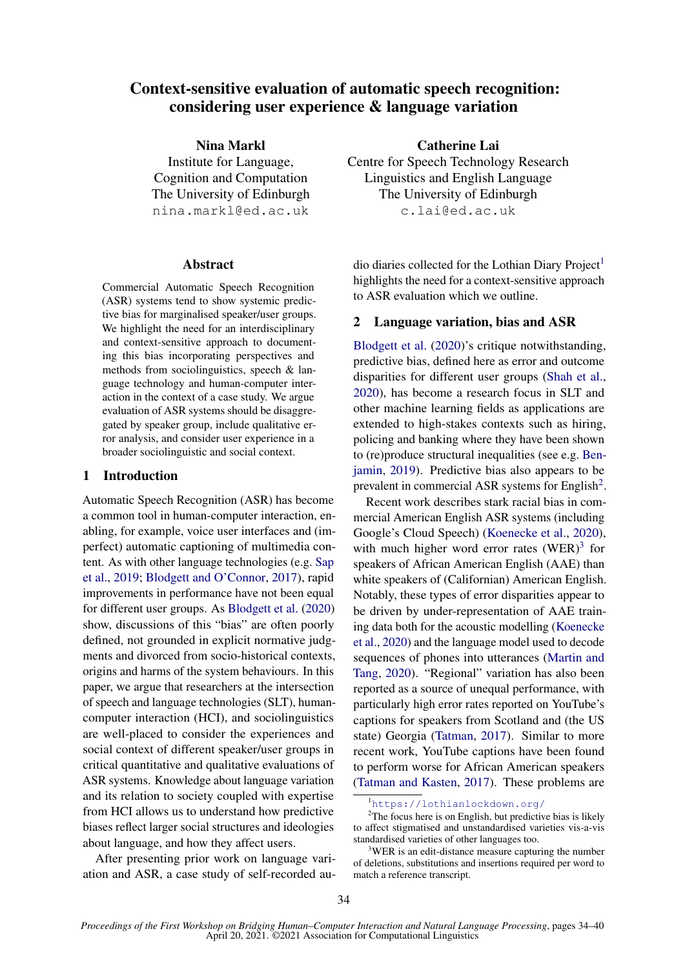# Context-sensitive evaluation of automatic speech recognition: considering user experience & language variation

Nina Markl Institute for Language, Cognition and Computation The University of Edinburgh nina.markl@ed.ac.uk

#### Abstract

Commercial Automatic Speech Recognition (ASR) systems tend to show systemic predictive bias for marginalised speaker/user groups. We highlight the need for an interdisciplinary and context-sensitive approach to documenting this bias incorporating perspectives and methods from sociolinguistics, speech & language technology and human-computer interaction in the context of a case study. We argue evaluation of ASR systems should be disaggregated by speaker group, include qualitative error analysis, and consider user experience in a broader sociolinguistic and social context.

## 1 Introduction

Automatic Speech Recognition (ASR) has become a common tool in human-computer interaction, enabling, for example, voice user interfaces and (imperfect) automatic captioning of multimedia content. As with other language technologies (e.g. [Sap](#page-5-0) [et al.,](#page-5-0) [2019;](#page-5-0) [Blodgett and O'Connor,](#page-4-0) [2017\)](#page-4-0), rapid improvements in performance have not been equal for different user groups. As [Blodgett et al.](#page-4-1) [\(2020\)](#page-4-1) show, discussions of this "bias" are often poorly defined, not grounded in explicit normative judgments and divorced from socio-historical contexts, origins and harms of the system behaviours. In this paper, we argue that researchers at the intersection of speech and language technologies (SLT), humancomputer interaction (HCI), and sociolinguistics are well-placed to consider the experiences and social context of different speaker/user groups in critical quantitative and qualitative evaluations of ASR systems. Knowledge about language variation and its relation to society coupled with expertise from HCI allows us to understand how predictive biases reflect larger social structures and ideologies about language, and how they affect users.

After presenting prior work on language variation and ASR, a case study of self-recorded au-

Catherine Lai Centre for Speech Technology Research Linguistics and English Language The University of Edinburgh c.lai@ed.ac.uk

dio diaries collected for the Lothian Diary Project<sup>[1](#page-0-0)</sup> highlights the need for a context-sensitive approach to ASR evaluation which we outline.

#### 2 Language variation, bias and ASR

[Blodgett et al.](#page-4-1) [\(2020\)](#page-4-1)'s critique notwithstanding, predictive bias, defined here as error and outcome disparities for different user groups [\(Shah et al.,](#page-5-1) [2020\)](#page-5-1), has become a research focus in SLT and other machine learning fields as applications are extended to high-stakes contexts such as hiring, policing and banking where they have been shown to (re)produce structural inequalities (see e.g. [Ben](#page-4-2)[jamin,](#page-4-2) [2019\)](#page-4-2). Predictive bias also appears to be prevalent in commercial ASR systems for English<sup>[2](#page-0-1)</sup>.

Recent work describes stark racial bias in commercial American English ASR systems (including Google's Cloud Speech) [\(Koenecke et al.,](#page-5-2) [2020\)](#page-5-2), with much higher word error rates  $(WER)^3$  $(WER)^3$  for speakers of African American English (AAE) than white speakers of (Californian) American English. Notably, these types of error disparities appear to be driven by under-representation of AAE training data both for the acoustic modelling [\(Koenecke](#page-5-2) [et al.,](#page-5-2) [2020\)](#page-5-2) and the language model used to decode sequences of phones into utterances [\(Martin and](#page-5-3) [Tang,](#page-5-3) [2020\)](#page-5-3). "Regional" variation has also been reported as a source of unequal performance, with particularly high error rates reported on YouTube's captions for speakers from Scotland and (the US state) Georgia [\(Tatman,](#page-6-0) [2017\)](#page-6-0). Similar to more recent work, YouTube captions have been found to perform worse for African American speakers [\(Tatman and Kasten,](#page-6-1) [2017\)](#page-6-1). These problems are

<span id="page-0-1"></span><span id="page-0-0"></span><sup>1</sup><https://lothianlockdown.org/>

 $2$ The focus here is on English, but predictive bias is likely to affect stigmatised and unstandardised varieties vis-a-vis standardised varieties of other languages too.

<span id="page-0-2"></span><sup>&</sup>lt;sup>3</sup>WER is an edit-distance measure capturing the number of deletions, substitutions and insertions required per word to match a reference transcript.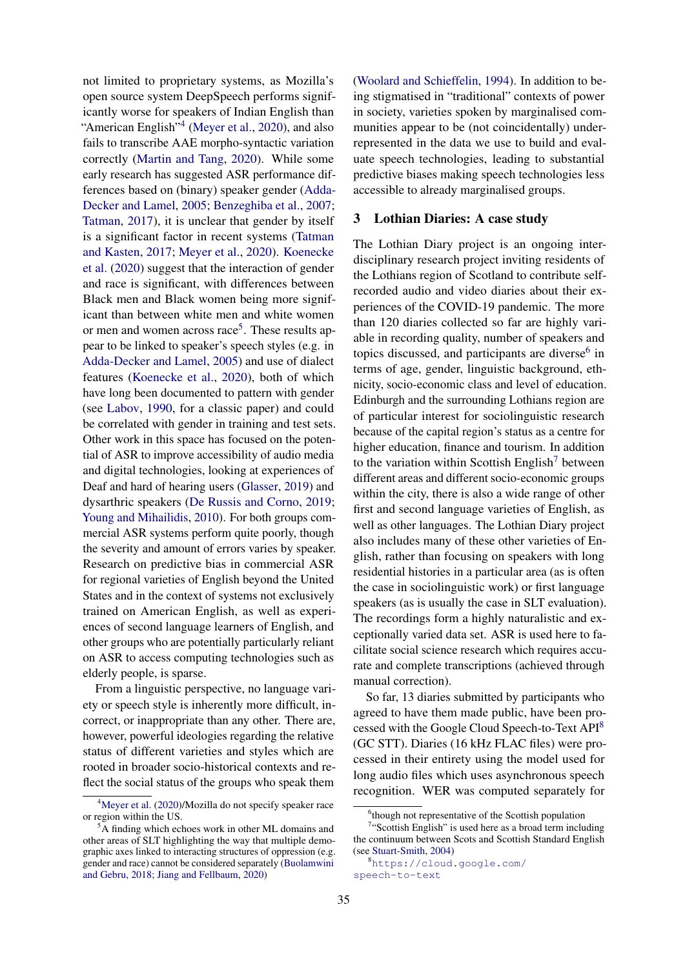not limited to proprietary systems, as Mozilla's open source system DeepSpeech performs significantly worse for speakers of Indian English than "American English"<sup>[4](#page-1-0)</sup> [\(Meyer et al.,](#page-5-4) [2020\)](#page-5-4), and also fails to transcribe AAE morpho-syntactic variation correctly [\(Martin and Tang,](#page-5-3) [2020\)](#page-5-3). While some early research has suggested ASR performance differences based on (binary) speaker gender [\(Adda-](#page-4-3)[Decker and Lamel,](#page-4-3) [2005;](#page-4-3) [Benzeghiba et al.,](#page-4-4) [2007;](#page-4-4) [Tatman,](#page-6-0) [2017\)](#page-6-0), it is unclear that gender by itself is a significant factor in recent systems [\(Tatman](#page-6-1) [and Kasten,](#page-6-1) [2017;](#page-6-1) [Meyer et al.,](#page-5-4) [2020\)](#page-5-4). [Koenecke](#page-5-2) [et al.](#page-5-2) [\(2020\)](#page-5-2) suggest that the interaction of gender and race is significant, with differences between Black men and Black women being more significant than between white men and white women or men and women across race<sup>[5](#page-1-1)</sup>. These results appear to be linked to speaker's speech styles (e.g. in [Adda-Decker and Lamel,](#page-4-3) [2005\)](#page-4-3) and use of dialect features [\(Koenecke et al.,](#page-5-2) [2020\)](#page-5-2), both of which have long been documented to pattern with gender (see [Labov,](#page-5-5) [1990,](#page-5-5) for a classic paper) and could be correlated with gender in training and test sets. Other work in this space has focused on the potential of ASR to improve accessibility of audio media and digital technologies, looking at experiences of Deaf and hard of hearing users [\(Glasser,](#page-5-6) [2019\)](#page-5-6) and dysarthric speakers [\(De Russis and Corno,](#page-5-7) [2019;](#page-5-7) [Young and Mihailidis,](#page-6-2) [2010\)](#page-6-2). For both groups commercial ASR systems perform quite poorly, though the severity and amount of errors varies by speaker. Research on predictive bias in commercial ASR for regional varieties of English beyond the United States and in the context of systems not exclusively trained on American English, as well as experiences of second language learners of English, and other groups who are potentially particularly reliant on ASR to access computing technologies such as elderly people, is sparse.

From a linguistic perspective, no language variety or speech style is inherently more difficult, incorrect, or inappropriate than any other. There are, however, powerful ideologies regarding the relative status of different varieties and styles which are rooted in broader socio-historical contexts and reflect the social status of the groups who speak them

[\(Woolard and Schieffelin,](#page-6-3) [1994\)](#page-6-3). In addition to being stigmatised in "traditional" contexts of power in society, varieties spoken by marginalised communities appear to be (not coincidentally) underrepresented in the data we use to build and evaluate speech technologies, leading to substantial predictive biases making speech technologies less accessible to already marginalised groups.

#### 3 Lothian Diaries: A case study

The Lothian Diary project is an ongoing interdisciplinary research project inviting residents of the Lothians region of Scotland to contribute selfrecorded audio and video diaries about their experiences of the COVID-19 pandemic. The more than 120 diaries collected so far are highly variable in recording quality, number of speakers and topics discussed, and participants are diverse<sup>[6](#page-1-2)</sup> in terms of age, gender, linguistic background, ethnicity, socio-economic class and level of education. Edinburgh and the surrounding Lothians region are of particular interest for sociolinguistic research because of the capital region's status as a centre for higher education, finance and tourism. In addition to the variation within Scottish English<sup>[7](#page-1-3)</sup> between different areas and different socio-economic groups within the city, there is also a wide range of other first and second language varieties of English, as well as other languages. The Lothian Diary project also includes many of these other varieties of English, rather than focusing on speakers with long residential histories in a particular area (as is often the case in sociolinguistic work) or first language speakers (as is usually the case in SLT evaluation). The recordings form a highly naturalistic and exceptionally varied data set. ASR is used here to facilitate social science research which requires accurate and complete transcriptions (achieved through manual correction).

So far, 13 diaries submitted by participants who agreed to have them made public, have been processed with the Google Cloud Speech-to-Text API[8](#page-1-4) (GC STT). Diaries (16 kHz FLAC files) were processed in their entirety using the model used for long audio files which uses asynchronous speech recognition. WER was computed separately for

<span id="page-1-0"></span><sup>&</sup>lt;sup>4</sup>[Meyer et al.](#page-5-4) [\(2020\)](#page-5-4)/Mozilla do not specify speaker race or region within the US.

<span id="page-1-1"></span><sup>&</sup>lt;sup>5</sup>A finding which echoes work in other ML domains and other areas of SLT highlighting the way that multiple demographic axes linked to interacting structures of oppression (e.g. gender and race) cannot be considered separately [\(Buolamwini](#page-4-5) [and Gebru,](#page-4-5) [2018;](#page-4-5) [Jiang and Fellbaum,](#page-5-8) [2020\)](#page-5-8)

<span id="page-1-3"></span><span id="page-1-2"></span><sup>&</sup>lt;sup>6</sup>though not representative of the Scottish population

<sup>&</sup>lt;sup>7</sup>"Scottish English" is used here as a broad term including the continuum between Scots and Scottish Standard English (see [Stuart-Smith,](#page-5-9) [2004\)](#page-5-9)

<span id="page-1-4"></span><sup>8</sup>[https://cloud.google.com/](https://cloud.google.com/speech-to-text) [speech-to-text](https://cloud.google.com/speech-to-text)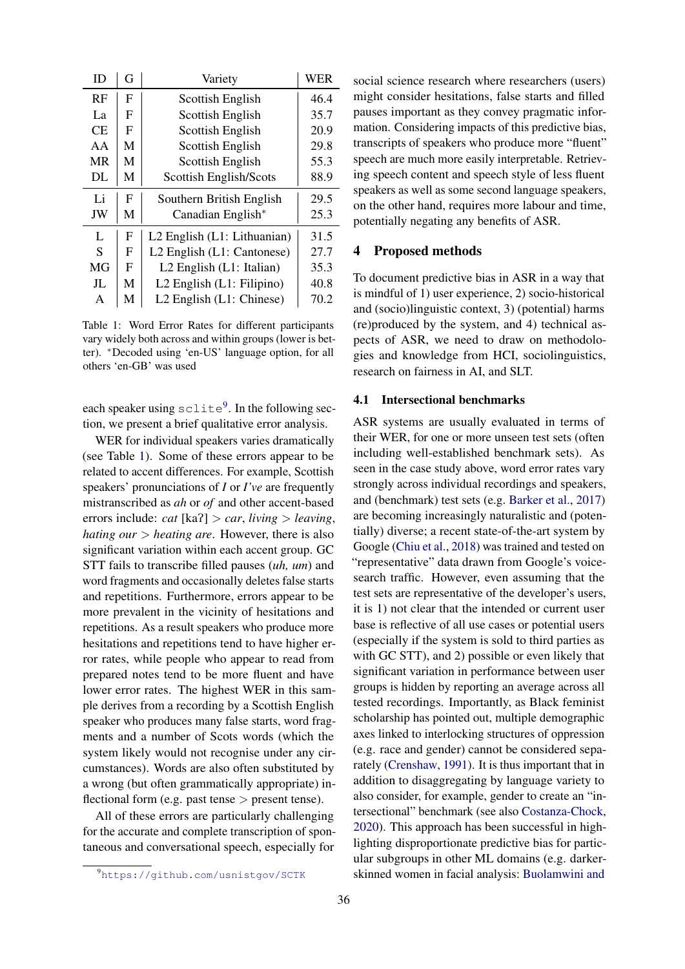<span id="page-2-1"></span>

| ID        | G            | Variety                       | <b>WER</b> |
|-----------|--------------|-------------------------------|------------|
| RF        | F            | Scottish English              | 46.4       |
| La        | F            | <b>Scottish English</b>       | 35.7       |
| <b>CE</b> | $\mathbf{F}$ | Scottish English              | 20.9       |
| AA        | M            | Scottish English              | 29.8       |
| <b>MR</b> | M            | Scottish English              | 55.3       |
| DL        | М            | Scottish English/Scots        | 88.9       |
|           |              |                               |            |
| Li        | F            | Southern British English      | 29.5       |
| JW        | М            | Canadian English*             | 25.3       |
| L         | F            | L2 English (L1: Lithuanian)   | 31.5       |
| S         | F            | L2 English (L1: Cantonese)    | 27.7       |
| MG        | F            | L2 English (L1: Italian)      | 35.3       |
| JL        | M            | $L2$ English $(L1:$ Filipino) | 40.8       |

Table 1: Word Error Rates for different participants vary widely both across and within groups (lower is better). <sup>∗</sup>Decoded using 'en-US' language option, for all others 'en-GB' was used

each speaker using  $\text{sclike}^9$  $\text{sclike}^9$ . In the following section, we present a brief qualitative error analysis.

WER for individual speakers varies dramatically (see Table [1\)](#page-2-1). Some of these errors appear to be related to accent differences. For example, Scottish speakers' pronunciations of *I* or *I've* are frequently mistranscribed as *ah* or *of* and other accent-based errors include: *cat* [kaP] > *car*, *living* > *leaving*, *hating our* > *heating are*. However, there is also significant variation within each accent group. GC STT fails to transcribe filled pauses (*uh, um*) and word fragments and occasionally deletes false starts and repetitions. Furthermore, errors appear to be more prevalent in the vicinity of hesitations and repetitions. As a result speakers who produce more hesitations and repetitions tend to have higher error rates, while people who appear to read from prepared notes tend to be more fluent and have lower error rates. The highest WER in this sample derives from a recording by a Scottish English speaker who produces many false starts, word fragments and a number of Scots words (which the system likely would not recognise under any circumstances). Words are also often substituted by a wrong (but often grammatically appropriate) inflectional form (e.g. past tense  $>$  present tense).

All of these errors are particularly challenging for the accurate and complete transcription of spontaneous and conversational speech, especially for social science research where researchers (users) might consider hesitations, false starts and filled pauses important as they convey pragmatic information. Considering impacts of this predictive bias, transcripts of speakers who produce more "fluent" speech are much more easily interpretable. Retrieving speech content and speech style of less fluent speakers as well as some second language speakers, on the other hand, requires more labour and time, potentially negating any benefits of ASR.

#### 4 Proposed methods

To document predictive bias in ASR in a way that is mindful of 1) user experience, 2) socio-historical and (socio)linguistic context, 3) (potential) harms (re)produced by the system, and 4) technical aspects of ASR, we need to draw on methodologies and knowledge from HCI, sociolinguistics, research on fairness in AI, and SLT.

#### 4.1 Intersectional benchmarks

ASR systems are usually evaluated in terms of their WER, for one or more unseen test sets (often including well-established benchmark sets). As seen in the case study above, word error rates vary strongly across individual recordings and speakers, and (benchmark) test sets (e.g. [Barker et al.,](#page-4-6) [2017\)](#page-4-6) are becoming increasingly naturalistic and (potentially) diverse; a recent state-of-the-art system by Google [\(Chiu et al.,](#page-4-7) [2018\)](#page-4-7) was trained and tested on "representative" data drawn from Google's voicesearch traffic. However, even assuming that the test sets are representative of the developer's users, it is 1) not clear that the intended or current user base is reflective of all use cases or potential users (especially if the system is sold to third parties as with GC STT), and 2) possible or even likely that significant variation in performance between user groups is hidden by reporting an average across all tested recordings. Importantly, as Black feminist scholarship has pointed out, multiple demographic axes linked to interlocking structures of oppression (e.g. race and gender) cannot be considered separately [\(Crenshaw,](#page-5-10) [1991\)](#page-5-10). It is thus important that in addition to disaggregating by language variety to also consider, for example, gender to create an "intersectional" benchmark (see also [Costanza-Chock,](#page-5-11) [2020\)](#page-5-11). This approach has been successful in highlighting disproportionate predictive bias for particular subgroups in other ML domains (e.g. darkerskinned women in facial analysis: [Buolamwini and](#page-4-5)

<span id="page-2-0"></span><sup>9</sup><https://github.com/usnistgov/SCTK>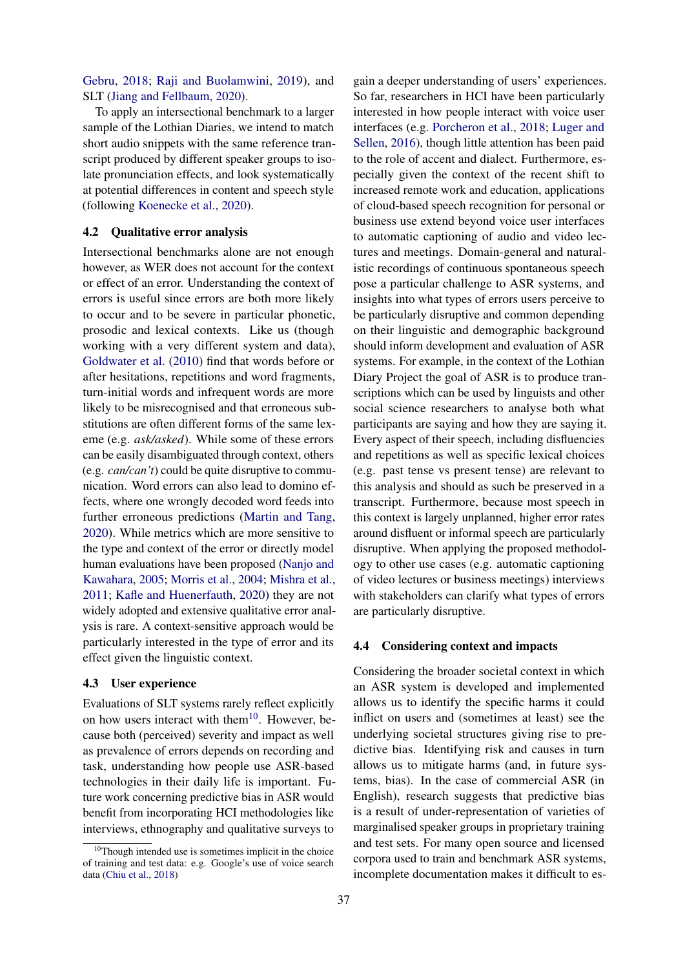[Gebru,](#page-4-5) [2018;](#page-4-5) [Raji and Buolamwini,](#page-5-12) [2019\)](#page-5-12), and SLT [\(Jiang and Fellbaum,](#page-5-8) [2020\)](#page-5-8).

To apply an intersectional benchmark to a larger sample of the Lothian Diaries, we intend to match short audio snippets with the same reference transcript produced by different speaker groups to isolate pronunciation effects, and look systematically at potential differences in content and speech style (following [Koenecke et al.,](#page-5-2) [2020\)](#page-5-2).

#### 4.2 Qualitative error analysis

Intersectional benchmarks alone are not enough however, as WER does not account for the context or effect of an error. Understanding the context of errors is useful since errors are both more likely to occur and to be severe in particular phonetic, prosodic and lexical contexts. Like us (though working with a very different system and data), [Goldwater et al.](#page-5-13) [\(2010\)](#page-5-13) find that words before or after hesitations, repetitions and word fragments, turn-initial words and infrequent words are more likely to be misrecognised and that erroneous substitutions are often different forms of the same lexeme (e.g. *ask/asked*). While some of these errors can be easily disambiguated through context, others (e.g. *can/can't*) could be quite disruptive to communication. Word errors can also lead to domino effects, where one wrongly decoded word feeds into further erroneous predictions [\(Martin and Tang,](#page-5-3) [2020\)](#page-5-3). While metrics which are more sensitive to the type and context of the error or directly model human evaluations have been proposed [\(Nanjo and](#page-5-14) [Kawahara,](#page-5-14) [2005;](#page-5-14) [Morris et al.,](#page-5-15) [2004;](#page-5-15) [Mishra et al.,](#page-5-16) [2011;](#page-5-16) [Kafle and Huenerfauth,](#page-5-17) [2020\)](#page-5-17) they are not widely adopted and extensive qualitative error analysis is rare. A context-sensitive approach would be particularly interested in the type of error and its effect given the linguistic context.

#### 4.3 User experience

Evaluations of SLT systems rarely reflect explicitly on how users interact with them<sup>[10](#page-3-0)</sup>. However, because both (perceived) severity and impact as well as prevalence of errors depends on recording and task, understanding how people use ASR-based technologies in their daily life is important. Future work concerning predictive bias in ASR would benefit from incorporating HCI methodologies like interviews, ethnography and qualitative surveys to

gain a deeper understanding of users' experiences. So far, researchers in HCI have been particularly interested in how people interact with voice user interfaces (e.g. [Porcheron et al.,](#page-5-18) [2018;](#page-5-18) [Luger and](#page-5-19) [Sellen,](#page-5-19) [2016\)](#page-5-19), though little attention has been paid to the role of accent and dialect. Furthermore, especially given the context of the recent shift to increased remote work and education, applications of cloud-based speech recognition for personal or business use extend beyond voice user interfaces to automatic captioning of audio and video lectures and meetings. Domain-general and naturalistic recordings of continuous spontaneous speech pose a particular challenge to ASR systems, and insights into what types of errors users perceive to be particularly disruptive and common depending on their linguistic and demographic background should inform development and evaluation of ASR systems. For example, in the context of the Lothian Diary Project the goal of ASR is to produce transcriptions which can be used by linguists and other social science researchers to analyse both what participants are saying and how they are saying it. Every aspect of their speech, including disfluencies and repetitions as well as specific lexical choices (e.g. past tense vs present tense) are relevant to this analysis and should as such be preserved in a transcript. Furthermore, because most speech in this context is largely unplanned, higher error rates around disfluent or informal speech are particularly disruptive. When applying the proposed methodology to other use cases (e.g. automatic captioning of video lectures or business meetings) interviews with stakeholders can clarify what types of errors are particularly disruptive.

#### 4.4 Considering context and impacts

Considering the broader societal context in which an ASR system is developed and implemented allows us to identify the specific harms it could inflict on users and (sometimes at least) see the underlying societal structures giving rise to predictive bias. Identifying risk and causes in turn allows us to mitigate harms (and, in future systems, bias). In the case of commercial ASR (in English), research suggests that predictive bias is a result of under-representation of varieties of marginalised speaker groups in proprietary training and test sets. For many open source and licensed corpora used to train and benchmark ASR systems, incomplete documentation makes it difficult to es-

<span id="page-3-0"></span><sup>&</sup>lt;sup>10</sup>Though intended use is sometimes implicit in the choice of training and test data: e.g. Google's use of voice search data [\(Chiu et al.,](#page-4-7) [2018\)](#page-4-7)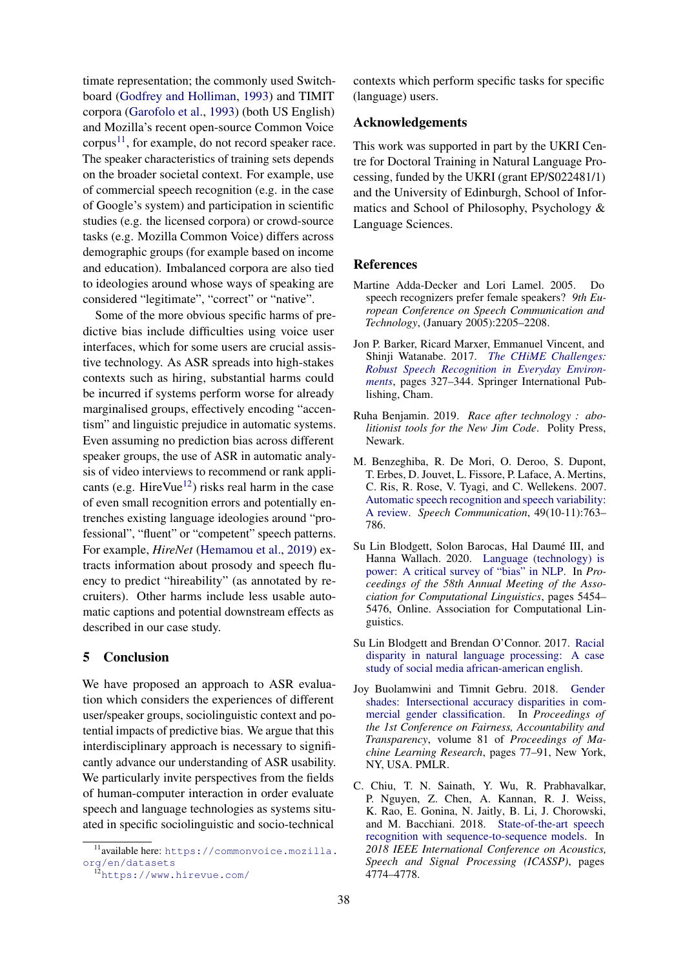timate representation; the commonly used Switchboard [\(Godfrey and Holliman,](#page-5-20) [1993\)](#page-5-20) and TIMIT corpora [\(Garofolo et al.,](#page-5-21) [1993\)](#page-5-21) (both US English) and Mozilla's recent open-source Common Voice  $corpus<sup>11</sup>$  $corpus<sup>11</sup>$  $corpus<sup>11</sup>$ , for example, do not record speaker race. The speaker characteristics of training sets depends on the broader societal context. For example, use of commercial speech recognition (e.g. in the case of Google's system) and participation in scientific studies (e.g. the licensed corpora) or crowd-source tasks (e.g. Mozilla Common Voice) differs across demographic groups (for example based on income and education). Imbalanced corpora are also tied to ideologies around whose ways of speaking are considered "legitimate", "correct" or "native".

Some of the more obvious specific harms of predictive bias include difficulties using voice user interfaces, which for some users are crucial assistive technology. As ASR spreads into high-stakes contexts such as hiring, substantial harms could be incurred if systems perform worse for already marginalised groups, effectively encoding "accentism" and linguistic prejudice in automatic systems. Even assuming no prediction bias across different speaker groups, the use of ASR in automatic analysis of video interviews to recommend or rank appli-cants (e.g. HireVue<sup>[12](#page-4-9)</sup>) risks real harm in the case of even small recognition errors and potentially entrenches existing language ideologies around "professional", "fluent" or "competent" speech patterns. For example, *HireNet* [\(Hemamou et al.,](#page-5-22) [2019\)](#page-5-22) extracts information about prosody and speech fluency to predict "hireability" (as annotated by recruiters). Other harms include less usable automatic captions and potential downstream effects as described in our case study.

### 5 Conclusion

We have proposed an approach to ASR evaluation which considers the experiences of different user/speaker groups, sociolinguistic context and potential impacts of predictive bias. We argue that this interdisciplinary approach is necessary to significantly advance our understanding of ASR usability. We particularly invite perspectives from the fields of human-computer interaction in order evaluate speech and language technologies as systems situated in specific sociolinguistic and socio-technical

contexts which perform specific tasks for specific (language) users.

#### Acknowledgements

This work was supported in part by the UKRI Centre for Doctoral Training in Natural Language Processing, funded by the UKRI (grant EP/S022481/1) and the University of Edinburgh, School of Informatics and School of Philosophy, Psychology & Language Sciences.

#### References

- <span id="page-4-3"></span>Martine Adda-Decker and Lori Lamel. 2005. Do speech recognizers prefer female speakers? *9th European Conference on Speech Communication and Technology*, (January 2005):2205–2208.
- <span id="page-4-6"></span>Jon P. Barker, Ricard Marxer, Emmanuel Vincent, and Shinji Watanabe. 2017. *[The CHiME Challenges:](https://doi.org/10.1007/978-3-319-64680-0_14) [Robust Speech Recognition in Everyday Environ](https://doi.org/10.1007/978-3-319-64680-0_14)[ments](https://doi.org/10.1007/978-3-319-64680-0_14)*, pages 327–344. Springer International Publishing, Cham.
- <span id="page-4-2"></span>Ruha Benjamin. 2019. *Race after technology : abolitionist tools for the New Jim Code*. Polity Press, Newark.
- <span id="page-4-4"></span>M. Benzeghiba, R. De Mori, O. Deroo, S. Dupont, T. Erbes, D. Jouvet, L. Fissore, P. Laface, A. Mertins, C. Ris, R. Rose, V. Tyagi, and C. Wellekens. 2007. [Automatic speech recognition and speech variability:](https://doi.org/10.1016/j.specom.2007.02.006) [A review.](https://doi.org/10.1016/j.specom.2007.02.006) *Speech Communication*, 49(10-11):763– 786.
- <span id="page-4-1"></span>Su Lin Blodgett, Solon Barocas, Hal Daumé III, and Hanna Wallach. 2020. [Language \(technology\) is](https://doi.org/10.18653/v1/2020.acl-main.485) [power: A critical survey of "bias" in NLP.](https://doi.org/10.18653/v1/2020.acl-main.485) In *Proceedings of the 58th Annual Meeting of the Association for Computational Linguistics*, pages 5454– 5476, Online. Association for Computational Linguistics.
- <span id="page-4-0"></span>Su Lin Blodgett and Brendan O'Connor. 2017. [Racial](http://arxiv.org/abs/1707.00061) [disparity in natural language processing: A case](http://arxiv.org/abs/1707.00061) [study of social media african-american english.](http://arxiv.org/abs/1707.00061)
- <span id="page-4-5"></span>Joy Buolamwini and Timnit Gebru. 2018. [Gender](http://proceedings.mlr.press/v81/buolamwini18a.html) [shades: Intersectional accuracy disparities in com](http://proceedings.mlr.press/v81/buolamwini18a.html)[mercial gender classification.](http://proceedings.mlr.press/v81/buolamwini18a.html) In *Proceedings of the 1st Conference on Fairness, Accountability and Transparency*, volume 81 of *Proceedings of Machine Learning Research*, pages 77–91, New York, NY, USA. PMLR.
- <span id="page-4-7"></span>C. Chiu, T. N. Sainath, Y. Wu, R. Prabhavalkar, P. Nguyen, Z. Chen, A. Kannan, R. J. Weiss, K. Rao, E. Gonina, N. Jaitly, B. Li, J. Chorowski, and M. Bacchiani. 2018. [State-of-the-art speech](https://doi.org/10.1109/ICASSP.2018.8462105) [recognition with sequence-to-sequence models.](https://doi.org/10.1109/ICASSP.2018.8462105) In *2018 IEEE International Conference on Acoustics, Speech and Signal Processing (ICASSP)*, pages 4774–4778.

<span id="page-4-8"></span><sup>11</sup>available here: [https://commonvoice.mozilla.](https://commonvoice.mozilla.org/en/datasets) [org/en/datasets](https://commonvoice.mozilla.org/en/datasets)

<span id="page-4-9"></span><sup>12</sup><https://www.hirevue.com/>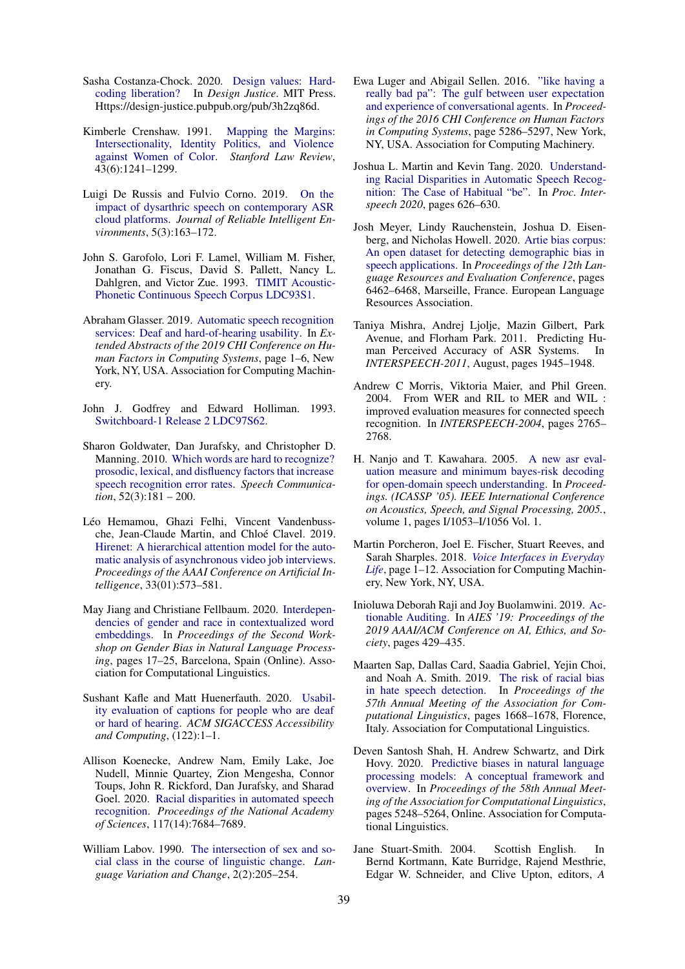- <span id="page-5-11"></span>Sasha Costanza-Chock. 2020. [Design values: Hard](https://design-justice.pubpub.org/pub/3h2zq86d)[coding liberation?](https://design-justice.pubpub.org/pub/3h2zq86d) In *Design Justice*. MIT Press. Https://design-justice.pubpub.org/pub/3h2zq86d.
- <span id="page-5-10"></span>Kimberle Crenshaw. 1991. [Mapping the Margins:](https://doi.org/https://doi.org/10.2307/1229039) [Intersectionality, Identity Politics, and Violence](https://doi.org/https://doi.org/10.2307/1229039) [against Women of Color.](https://doi.org/https://doi.org/10.2307/1229039) *Stanford Law Review*, 43(6):1241–1299.
- <span id="page-5-7"></span>Luigi De Russis and Fulvio Corno. 2019. [On the](https://doi.org/10.1007/s40860-019-00085-y) [impact of dysarthric speech on contemporary ASR](https://doi.org/10.1007/s40860-019-00085-y) [cloud platforms.](https://doi.org/10.1007/s40860-019-00085-y) *Journal of Reliable Intelligent Environments*, 5(3):163–172.
- <span id="page-5-21"></span>John S. Garofolo, Lori F. Lamel, William M. Fisher, Jonathan G. Fiscus, David S. Pallett, Nancy L. Dahlgren, and Victor Zue. 1993. [TIMIT Acoustic-](https://doi.org/https://doi.org/10.35111/17gk-bn40)[Phonetic Continuous Speech Corpus LDC93S1.](https://doi.org/https://doi.org/10.35111/17gk-bn40)
- <span id="page-5-6"></span>Abraham Glasser. 2019. [Automatic speech recognition](https://doi.org/10.1145/3290607.3308461) [services: Deaf and hard-of-hearing usability.](https://doi.org/10.1145/3290607.3308461) In *Extended Abstracts of the 2019 CHI Conference on Human Factors in Computing Systems*, page 1–6, New York, NY, USA. Association for Computing Machinery.
- <span id="page-5-20"></span>John J. Godfrey and Edward Holliman. 1993. [Switchboard-1 Release 2 LDC97S62.](https://doi.org/https://doi.org/10.35111/sw3h-rw02)
- <span id="page-5-13"></span>Sharon Goldwater, Dan Jurafsky, and Christopher D. Manning. 2010. [Which words are hard to recognize?](https://doi.org/https://doi.org/10.1016/j.specom.2009.10.001) [prosodic, lexical, and disfluency factors that increase](https://doi.org/https://doi.org/10.1016/j.specom.2009.10.001) [speech recognition error rates.](https://doi.org/https://doi.org/10.1016/j.specom.2009.10.001) *Speech Communication*, 52(3):181 – 200.
- <span id="page-5-22"></span>Léo Hemamou, Ghazi Felhi, Vincent Vandenbussche, Jean-Claude Martin, and Chloé Clavel. 2019. [Hirenet: A hierarchical attention model for the auto](https://doi.org/10.1609/aaai.v33i01.3301573)[matic analysis of asynchronous video job interviews.](https://doi.org/10.1609/aaai.v33i01.3301573) *Proceedings of the AAAI Conference on Artificial Intelligence*, 33(01):573–581.
- <span id="page-5-8"></span>May Jiang and Christiane Fellbaum. 2020. [Interdepen](https://www.aclweb.org/anthology/2020.gebnlp-1.2)[dencies of gender and race in contextualized word](https://www.aclweb.org/anthology/2020.gebnlp-1.2) [embeddings.](https://www.aclweb.org/anthology/2020.gebnlp-1.2) In *Proceedings of the Second Workshop on Gender Bias in Natural Language Processing*, pages 17–25, Barcelona, Spain (Online). Association for Computational Linguistics.
- <span id="page-5-17"></span>Sushant Kafle and Matt Huenerfauth. 2020. [Usabil](https://doi.org/10.1145/3386410.3386411)[ity evaluation of captions for people who are deaf](https://doi.org/10.1145/3386410.3386411) [or hard of hearing.](https://doi.org/10.1145/3386410.3386411) *ACM SIGACCESS Accessibility and Computing*, (122):1–1.
- <span id="page-5-2"></span>Allison Koenecke, Andrew Nam, Emily Lake, Joe Nudell, Minnie Quartey, Zion Mengesha, Connor Toups, John R. Rickford, Dan Jurafsky, and Sharad Goel. 2020. [Racial disparities in automated speech](https://doi.org/10.1073/pnas.1915768117) [recognition.](https://doi.org/10.1073/pnas.1915768117) *Proceedings of the National Academy of Sciences*, 117(14):7684–7689.
- <span id="page-5-5"></span>William Labov. 1990. [The intersection of sex and so](https://doi.org/10.1017/S0954394500000338)[cial class in the course of linguistic change.](https://doi.org/10.1017/S0954394500000338) *Language Variation and Change*, 2(2):205–254.
- <span id="page-5-19"></span>Ewa Luger and Abigail Sellen. 2016. ["like having a](https://doi.org/10.1145/2858036.2858288) [really bad pa": The gulf between user expectation](https://doi.org/10.1145/2858036.2858288) [and experience of conversational agents.](https://doi.org/10.1145/2858036.2858288) In *Proceedings of the 2016 CHI Conference on Human Factors in Computing Systems*, page 5286–5297, New York, NY, USA. Association for Computing Machinery.
- <span id="page-5-3"></span>Joshua L. Martin and Kevin Tang. 2020. [Understand](https://doi.org/10.21437/Interspeech.2020-2893)[ing Racial Disparities in Automatic Speech Recog](https://doi.org/10.21437/Interspeech.2020-2893)[nition: The Case of Habitual "be".](https://doi.org/10.21437/Interspeech.2020-2893) In *Proc. Interspeech 2020*, pages 626–630.
- <span id="page-5-4"></span>Josh Meyer, Lindy Rauchenstein, Joshua D. Eisenberg, and Nicholas Howell. 2020. [Artie bias corpus:](https://www.aclweb.org/anthology/2020.lrec-1.796) [An open dataset for detecting demographic bias in](https://www.aclweb.org/anthology/2020.lrec-1.796) [speech applications.](https://www.aclweb.org/anthology/2020.lrec-1.796) In *Proceedings of the 12th Language Resources and Evaluation Conference*, pages 6462–6468, Marseille, France. European Language Resources Association.
- <span id="page-5-16"></span>Taniya Mishra, Andrej Ljolje, Mazin Gilbert, Park Avenue, and Florham Park. 2011. Predicting Human Perceived Accuracy of ASR Systems. In *INTERSPEECH-2011*, August, pages 1945–1948.
- <span id="page-5-15"></span>Andrew C Morris, Viktoria Maier, and Phil Green. 2004. From WER and RIL to MER and WIL : improved evaluation measures for connected speech recognition. In *INTERSPEECH-2004*, pages 2765– 2768.
- <span id="page-5-14"></span>H. Nanjo and T. Kawahara. 2005. [A new asr eval](https://doi.org/10.1109/ICASSP.2005.1415298)[uation measure and minimum bayes-risk decoding](https://doi.org/10.1109/ICASSP.2005.1415298) [for open-domain speech understanding.](https://doi.org/10.1109/ICASSP.2005.1415298) In *Proceedings. (ICASSP '05). IEEE International Conference on Acoustics, Speech, and Signal Processing, 2005.*, volume 1, pages I/1053–I/1056 Vol. 1.
- <span id="page-5-18"></span>Martin Porcheron, Joel E. Fischer, Stuart Reeves, and Sarah Sharples. 2018. *[Voice Interfaces in Everyday](https://doi.org/10.1145/3173574.3174214) [Life](https://doi.org/10.1145/3173574.3174214)*, page 1–12. Association for Computing Machinery, New York, NY, USA.
- <span id="page-5-12"></span>Inioluwa Deborah Raji and Joy Buolamwini. 2019. [Ac](https://doi.org/10.1145/3306618.3314244)[tionable Auditing.](https://doi.org/10.1145/3306618.3314244) In *AIES '19: Proceedings of the 2019 AAAI/ACM Conference on AI, Ethics, and Society*, pages 429–435.
- <span id="page-5-0"></span>Maarten Sap, Dallas Card, Saadia Gabriel, Yejin Choi, and Noah A. Smith. 2019. [The risk of racial bias](https://doi.org/10.18653/v1/P19-1163) [in hate speech detection.](https://doi.org/10.18653/v1/P19-1163) In *Proceedings of the 57th Annual Meeting of the Association for Computational Linguistics*, pages 1668–1678, Florence, Italy. Association for Computational Linguistics.
- <span id="page-5-1"></span>Deven Santosh Shah, H. Andrew Schwartz, and Dirk Hovy. 2020. [Predictive biases in natural language](https://doi.org/10.18653/v1/2020.acl-main.468) [processing models: A conceptual framework and](https://doi.org/10.18653/v1/2020.acl-main.468) [overview.](https://doi.org/10.18653/v1/2020.acl-main.468) In *Proceedings of the 58th Annual Meeting of the Association for Computational Linguistics*, pages 5248–5264, Online. Association for Computational Linguistics.
- <span id="page-5-9"></span>Jane Stuart-Smith. 2004. Scottish English. In Bernd Kortmann, Kate Burridge, Rajend Mesthrie, Edgar W. Schneider, and Clive Upton, editors, *A*